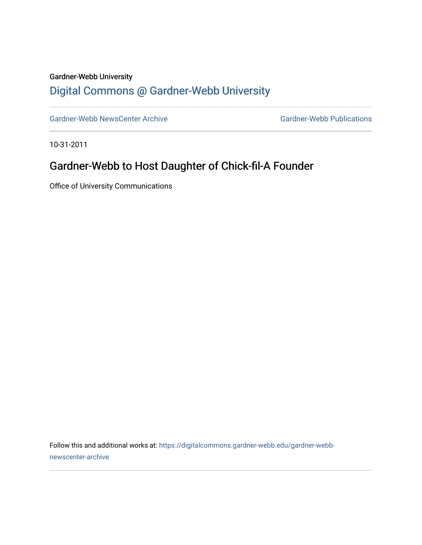#### Gardner-Webb University

## [Digital Commons @ Gardner-Webb University](https://digitalcommons.gardner-webb.edu/)

[Gardner-Webb NewsCenter Archive](https://digitalcommons.gardner-webb.edu/gardner-webb-newscenter-archive) Gardner-Webb Publications

10-31-2011

## Gardner-Webb to Host Daughter of Chick-fil-A Founder

Office of University Communications

Follow this and additional works at: [https://digitalcommons.gardner-webb.edu/gardner-webb](https://digitalcommons.gardner-webb.edu/gardner-webb-newscenter-archive?utm_source=digitalcommons.gardner-webb.edu%2Fgardner-webb-newscenter-archive%2F2015&utm_medium=PDF&utm_campaign=PDFCoverPages)[newscenter-archive](https://digitalcommons.gardner-webb.edu/gardner-webb-newscenter-archive?utm_source=digitalcommons.gardner-webb.edu%2Fgardner-webb-newscenter-archive%2F2015&utm_medium=PDF&utm_campaign=PDFCoverPages)